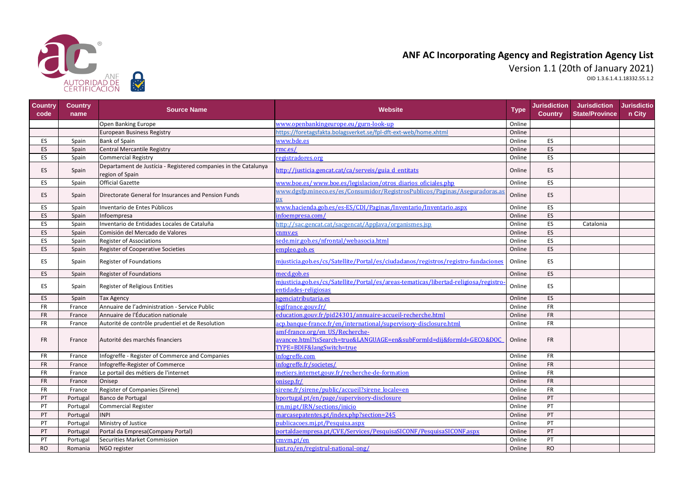| Country<br>code | <b>Country</b><br>name | <b>Source Name</b>                                                                 | <b>Website</b>                                                                                                                       | <b>Type</b> | <b>Jurisdiction</b><br><b>Country</b> | <b>Jurisdiction</b><br><b>State/Province</b> | <b>Jurisdictio</b><br>n City |
|-----------------|------------------------|------------------------------------------------------------------------------------|--------------------------------------------------------------------------------------------------------------------------------------|-------------|---------------------------------------|----------------------------------------------|------------------------------|
|                 |                        | Open Banking Europe                                                                | www.openbankingeurope.eu/gurn-look-up                                                                                                | Online      |                                       |                                              |                              |
|                 |                        | European Business Registry                                                         | https://foretagsfakta.bolagsverket.se/fpl-dft-ext-web/home.xhtml                                                                     | Online      |                                       |                                              |                              |
| ES.             | Spain                  | <b>Bank of Spain</b>                                                               | www.bde.es                                                                                                                           | Online      | ES                                    |                                              |                              |
| ES              | Spain                  | Central Mercantile Registry                                                        | rmc.es/                                                                                                                              | Online      | ES                                    |                                              |                              |
| <b>ES</b>       | Spain                  | <b>Commercial Registry</b>                                                         | registradores.org                                                                                                                    | Online      | ES                                    |                                              |                              |
| <b>ES</b>       | Spain                  | Departament de Justícia - Registered companies in the Catalunya<br>region of Spain | http://justicia.gencat.cat/ca/serveis/guia d entitats                                                                                | Online      | ES                                    |                                              |                              |
| ES.             | Spain                  | <b>Official Gazette</b>                                                            | www.boe.es/www.boe.es/legislacion/otros_diarios_oficiales.php                                                                        | Online      | ES                                    |                                              |                              |
| <b>ES</b>       | Spain                  | Directorate General for Insurances and Pension Funds                               | www.dgsfp.mineco.es/es/Consumidor/RegistrosPublicos/Paginas/Aseguradoras.as                                                          | Online      | ES                                    |                                              |                              |
| <b>ES</b>       | Spain                  | Inventario de Entes Públicos                                                       | www.hacienda.gob.es/es-ES/CDI/Paginas/Inventario/Inventario.aspx                                                                     | Online      | ES                                    |                                              |                              |
| ES              | Spain                  | Infoempresa                                                                        | infoempresa.com/                                                                                                                     | Online      | ES                                    |                                              |                              |
| <b>ES</b>       | Spain                  | Inventario de Entidades Locales de Cataluña                                        | http://sac.gencat.cat/sacgencat/AppJava/organismes.jsp                                                                               | Online      | ES                                    | Catalonia                                    |                              |
| <b>ES</b>       | Spain                  | Comisión del Mercado de Valores                                                    | cnmv.es                                                                                                                              | Online      | ES                                    |                                              |                              |
| ES              | Spain                  | <b>Register of Associations</b>                                                    | sede.mir.gob.es/nfrontal/webasocia.html                                                                                              | Online      | ES                                    |                                              |                              |
| <b>ES</b>       | Spain                  | <b>Register of Cooperative Societies</b>                                           | empleo.gob.es                                                                                                                        | Online      | ES                                    |                                              |                              |
| ES              | Spain                  | <b>Register of Foundations</b>                                                     | mjusticia.gob.es/cs/Satellite/Portal/es/ciudadanos/registros/registro-fundaciones                                                    | Online      | ES                                    |                                              |                              |
| <b>ES</b>       | Spain                  | <b>Register of Foundations</b>                                                     | mecd.gob.es                                                                                                                          | Online      | ES                                    |                                              |                              |
| <b>ES</b>       | Spain                  | <b>Register of Religious Entities</b>                                              | mjusticia.gob.es/cs/Satellite/Portal/es/areas-tematicas/libertad-religiosa/registro-<br>entidades-religiosas                         | Online      | ES                                    |                                              |                              |
| ES              | Spain                  | Tax Agency                                                                         | agenciatributaria.es                                                                                                                 | Online      | ES                                    |                                              |                              |
| <b>FR</b>       | France                 | Annuaire de l'administration - Service Public                                      | legifrance.gouv.fr/                                                                                                                  | Online      | <b>FR</b>                             |                                              |                              |
| <b>FR</b>       | France                 | Annuaire de l'Éducation nationale                                                  | education.gouv.fr/pid24301/annuaire-accueil-recherche.html                                                                           | Online      | <b>FR</b>                             |                                              |                              |
| <b>FR</b>       | France                 | Autorité de contrôle prudentiel et de Resolution                                   | acp.banque-france.fr/en/international/supervisory-disclosure.html                                                                    | Online      | <b>FR</b>                             |                                              |                              |
| <b>FR</b>       | France                 | Autorité des marchés financiers                                                    | amf-france.org/en US/Recherche-<br>avancee.html?isSearch=true&LANGUAGE=en&subFormId=dij&formId=GECO&DOC<br>TYPE=BDIF&langSwitch=true | Online      | <b>FR</b>                             |                                              |                              |
| <b>FR</b>       | France                 | Infogreffe - Register of Commerce and Companies                                    | infogreffe.com                                                                                                                       | Online      | <b>FR</b>                             |                                              |                              |
| <b>FR</b>       | France                 | Infogreffe-Register of Commerce                                                    | infogreffe.fr/societes/                                                                                                              | Online      | <b>FR</b>                             |                                              |                              |
| <b>FR</b>       | France                 | Le portail des métiers de l'internet                                               | metiers.internet.gouv.fr/recherche-de-formation                                                                                      | Online      | <b>FR</b>                             |                                              |                              |
| <b>FR</b>       | France                 | Onisep                                                                             | onisep.fr/                                                                                                                           | Online      | <b>FR</b>                             |                                              |                              |
| <b>FR</b>       | France                 | Register of Companies (Sirene)                                                     | sirene.fr/sirene/public/accueil?sirene locale=en                                                                                     | Online      | <b>FR</b>                             |                                              |                              |
| PT              | Portugal               | Banco de Portugal                                                                  | bportugal.pt/en/page/supervisory-disclosure                                                                                          | Online      | PT                                    |                                              |                              |
| PT              | Portugal               | Commercial Register                                                                | irn.mj.pt/IRN/sections/inicio                                                                                                        | Online      | PT                                    |                                              |                              |
| PT              | Portugal               | <b>INPI</b>                                                                        | marcasepatentes.pt/index.php?section=245                                                                                             | Online      | PT                                    |                                              |                              |
| PT              | Portugal               | Ministry of Justice                                                                | publicacoes.mj.pt/Pesquisa.aspx                                                                                                      | Online      | PT                                    |                                              |                              |
| PT              | Portugal               | Portal da Empresa (Company Portal)                                                 | portaldaempresa.pt/CVE/Services/PesquisaSICONF/PesquisaSICONF.aspx                                                                   | Online      | PT                                    |                                              |                              |
| PT              | Portugal               | Securities Market Commission                                                       | cmym.pt/en                                                                                                                           | Online      | PT                                    |                                              |                              |
| <b>RO</b>       | Romania                | NGO register                                                                       | just.ro/en/registrul-national-ong/                                                                                                   | Online      | <b>RO</b>                             |                                              |                              |



## **ANF AC Incorporating Agency and Registration Agency List** Version 1.1 (20th of January 2021)

OID 1.3.6.1.4.1.18332.55.1.2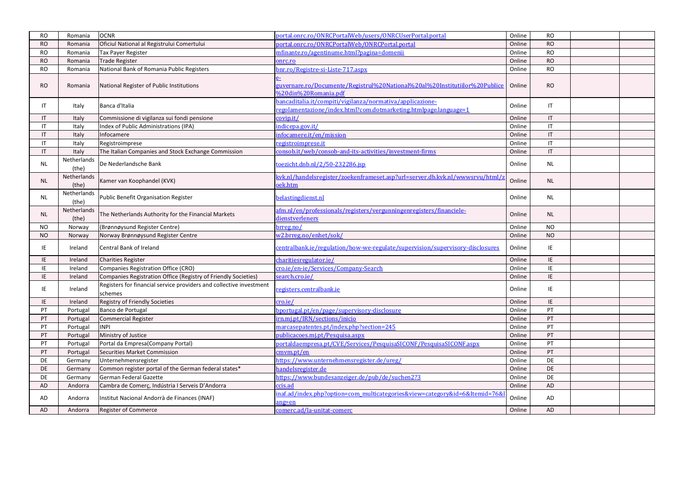| <b>RO</b>              | Romania              | <b>OCNR</b>                                                                    | portal.onrc.ro/ONRCPortalWeb/users/ONRCUserPortal.portal                                                                      | Online | <b>RO</b>              |  |
|------------------------|----------------------|--------------------------------------------------------------------------------|-------------------------------------------------------------------------------------------------------------------------------|--------|------------------------|--|
| <b>RO</b>              | Romania              | Oficiul National al Registrului Comertului                                     | oortal.onrc.ro/ONRCPortalWeb/ONRCPortal.portal                                                                                | Online | <b>RO</b>              |  |
| <b>RO</b>              | Romania              | Tax Payer Register                                                             | <u>mfinante.ro/agentinume.html?pagina=domenii</u>                                                                             | Online | <b>RO</b>              |  |
| <b>RO</b>              | Romania              | <b>Trade Register</b>                                                          | <u>onrc.ro</u>                                                                                                                | Online | <b>RO</b>              |  |
| <b>RO</b>              | Romania              | National Bank of Romania Public Registers                                      | onr.ro/Registre-si-Liste-717.aspx                                                                                             | Online | <b>RO</b>              |  |
| <b>RO</b>              | Romania              | National Register of Public Institutions                                       | <u>2009-guvernare.ro/Documente/Registrul%20National%20al%20Institutiilor%20Publice</u><br>%20din%20Romania.pdf                | Online | <b>RO</b>              |  |
| IT                     | Italy                | Banca d'Italia                                                                 | bancaditalia.it/compiti/vigilanza/normativa/applicazione-<br>regolamentazione/index.html?com.dotmarketing.htmlpage.language=1 | Online | $\mathsf{I}\mathsf{T}$ |  |
| IT                     | Italy                | Commissione di vigilanza sui fondi pensione                                    | covip.it/                                                                                                                     | Online | $\mathsf{I}\mathsf{T}$ |  |
| IT                     | Italy                | Index of Public Administrations (IPA)                                          | indicepa.gov.it/                                                                                                              | Online | $\mathsf{I}\mathsf{T}$ |  |
| IT                     | Italy                | Infocamere                                                                     | nfocamere.it/en/mission                                                                                                       | Online | $\mathsf{I}\mathsf{T}$ |  |
| IT.                    | Italy                | Registroimprese                                                                | regis <u>troimprese.it</u>                                                                                                    | Online | IT                     |  |
| $\mathsf{I}\mathsf{T}$ | Italy                | The Italian Companies and Stock Exchange Commission                            | consob.it/web/consob-and-its-activities/investment-firms                                                                      | Online | $\mathsf{I}\mathsf{T}$ |  |
| <b>NL</b>              | Netherlands<br>(the) | De Nederlandsche Bank                                                          | toezicht.dnb.nl/2/50-232286.jsp                                                                                               | Online | <b>NL</b>              |  |
| <b>NL</b>              | Netherlands<br>(the) | Kamer van Koophandel (KVK)                                                     | <u>kyk.nl/handelsregister/zoekenframeset.asp?url=server.db.kyk.nl/wwwsryu/html/z</u><br>oek.htm                               | Online | <b>NL</b>              |  |
| <b>NL</b>              | Netherlands<br>(the) | <b>Public Benefit Organisation Register</b>                                    | belastingdienst.nl                                                                                                            | Online | <b>NL</b>              |  |
| <b>NL</b>              | Netherlands<br>(the) | The Netherlands Authority for the Financial Markets                            | afm.nl/en/professionals/registers/vergunningenregisters/financiele-<br>dienstverleners                                        | Online | <b>NL</b>              |  |
| <b>NO</b>              | Norway               | (Brønnøysund Register Centre)                                                  | brreg.no/                                                                                                                     | Online | <b>NO</b>              |  |
| <b>NO</b>              | Norway               | Norway Brønnøysund Register Centre                                             | w2.brreg.no/enhet/sok/                                                                                                        | Online | <b>NO</b>              |  |
| IE.                    | Ireland              | Central Bank of Ireland                                                        | <u>centralbank.ie/regulation/how-we-regulate/supervision/supervisory-disclosures</u>                                          | Online | IE                     |  |
| IE.                    | Ireland              | <b>Charities Register</b>                                                      | charitiesregulator.ie/                                                                                                        | Online | IE                     |  |
|                        | Ireland              | Companies Registration Office (CRO)                                            | <u>cro.ie/en-ie/Services/Company-Search</u>                                                                                   | Online | IE.                    |  |
| IE.                    | Ireland              | Companies Registration Office (Registry of Friendly Societies)                 | search.cro.ie/                                                                                                                | Online | IE.                    |  |
| ΙE                     | Ireland              | Registers for financial service providers and collective investment<br>schemes | registers.centralbank.ie                                                                                                      | Online | IE                     |  |
| IE                     | Ireland              | <b>Registry of Friendly Societies</b>                                          | cro.ie/                                                                                                                       | Online | IE                     |  |
| PT                     | Portugal             | Banco de Portugal                                                              | bportugal.pt/en/page/supervisory-disclosure                                                                                   | Online | PT                     |  |
| PT                     | Portugal             | <b>Commercial Register</b>                                                     | irn.mj.pt/IRN/sections/inicio                                                                                                 | Online | PT                     |  |
| PT                     | Portugal             | <b>INPI</b>                                                                    | marcasepatentes.pt/index.php?section=245                                                                                      | Online | PT                     |  |
| PT                     | Portugal             | Ministry of Justice                                                            | publicacoes.mj.pt/Pesquisa.aspx                                                                                               | Online | PT                     |  |
| PT                     | Portugal             | Portal da Empresa(Company Portal)                                              | portaldaempresa.pt/CVE/Services/PesquisaSICONF/PesquisaSICONF.aspx                                                            | Online | PT                     |  |
| PT                     | Portugal             | <b>Securities Market Commission</b>                                            | cmvm.pt/en                                                                                                                    | Online | PT                     |  |
| DE                     | Germany              | Unternehmensregister                                                           | https://www.unternehmensregister.de/ureg/                                                                                     | Online | DE                     |  |
| DE                     | Germany              | Common register portal of the German federal states*                           | handelsregister.de                                                                                                            | Online | DE                     |  |
| DE                     | Germany              | German Federal Gazette                                                         | https://www.bundesanzeiger.de/pub/de/suchen2?3                                                                                | Online | DE                     |  |
| AD                     | Andorra              | Cambra de Comerç, Indústria I Serveis D'Andorra                                | ccis.ad                                                                                                                       | Online | AD                     |  |
| AD                     | Andorra              | Institut Nacional Andorrà de Finances (INAF)                                   | naf.ad/index.php?option=com_multicategories&view=category&id=6&Itemid=76&I<br><u>ang=en</u>                                   | Online | AD                     |  |
|                        |                      | <b>Register of Commerce</b>                                                    | comerc.ad/la-unitat-comerc                                                                                                    | Online | AD                     |  |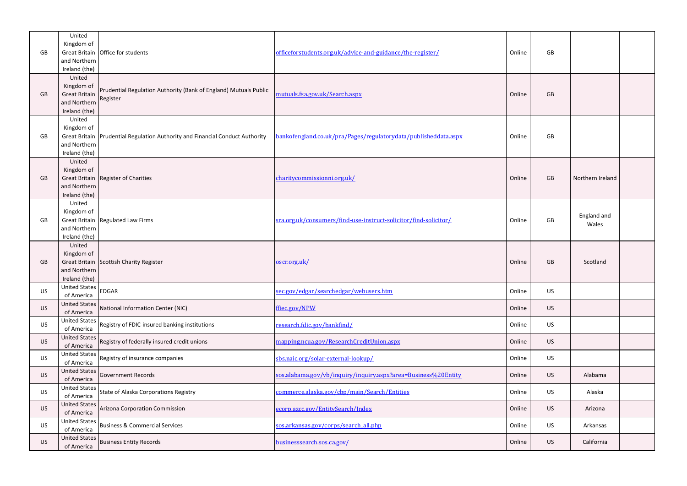|           | United                             |                                                                                 |                                                                  |        |           |                  |  |
|-----------|------------------------------------|---------------------------------------------------------------------------------|------------------------------------------------------------------|--------|-----------|------------------|--|
| GB        | Kingdom of                         | Great Britain Office for students                                               | officeforstudents.org.uk/advice-and-guidance/the-register/       | Online | GB        |                  |  |
|           | and Northern                       |                                                                                 |                                                                  |        |           |                  |  |
|           | Ireland (the)                      |                                                                                 |                                                                  |        |           |                  |  |
|           | United<br>Kingdom of               |                                                                                 |                                                                  |        |           |                  |  |
| GB        | <b>Great Britain</b>               | Prudential Regulation Authority (Bank of England) Mutuals Public                | mutuals.fsa.gov.uk/Search.aspx                                   | Online | GB        |                  |  |
|           | and Northern                       | Register                                                                        |                                                                  |        |           |                  |  |
|           | Ireland (the)                      |                                                                                 |                                                                  |        |           |                  |  |
|           | United<br>Kingdom of               |                                                                                 |                                                                  |        |           |                  |  |
| GB        |                                    | Great Britain   Prudential Regulation Authority and Financial Conduct Authority | bankofengland.co.uk/pra/Pages/regulatorydata/publisheddata.aspx  | Online | <b>GB</b> |                  |  |
|           | and Northern                       |                                                                                 |                                                                  |        |           |                  |  |
|           | Ireland (the)                      |                                                                                 |                                                                  |        |           |                  |  |
|           | United                             |                                                                                 |                                                                  |        |           |                  |  |
| GB        | Kingdom of                         | Great Britain Register of Charities                                             | charitycommissionni.org.uk/                                      | Online | <b>GB</b> | Northern Ireland |  |
|           | and Northern                       |                                                                                 |                                                                  |        |           |                  |  |
|           | Ireland (the)                      |                                                                                 |                                                                  |        |           |                  |  |
|           | United                             |                                                                                 |                                                                  |        |           |                  |  |
| GB        | Kingdom of                         | Great Britain Regulated Law Firms                                               | sra.org.uk/consumers/find-use-instruct-solicitor/find-solicitor/ | Online | GB        | England and      |  |
|           | and Northern                       |                                                                                 |                                                                  |        |           | Wales            |  |
|           | Ireland (the)                      |                                                                                 |                                                                  |        |           |                  |  |
|           | United                             |                                                                                 |                                                                  |        |           |                  |  |
| GB        | Kingdom of                         | Great Britain Scottish Charity Register                                         | oscr.org.uk/                                                     | Online | <b>GB</b> | Scotland         |  |
|           | and Northern                       |                                                                                 |                                                                  |        |           |                  |  |
|           | Ireland (the)                      |                                                                                 |                                                                  |        |           |                  |  |
| US.       | <b>United States</b>               | <b>EDGAR</b>                                                                    | sec.gov/edgar/searchedgar/webusers.htm                           | Online | <b>US</b> |                  |  |
|           | of America<br><b>United States</b> |                                                                                 |                                                                  |        |           |                  |  |
| <b>US</b> | of America                         | National Information Center (NIC)                                               | ffiec.gov/NPW                                                    | Online | <b>US</b> |                  |  |
| US        | <b>United States</b>               | Registry of FDIC-insured banking institutions                                   | research.fdic.gov/bankfind/                                      | Online | US        |                  |  |
|           | of America<br><b>United States</b> |                                                                                 |                                                                  |        |           |                  |  |
| <b>US</b> | of America                         | Registry of federally insured credit unions                                     | mapping.ncua.gov/ResearchCreditUnion.aspx                        | Online | <b>US</b> |                  |  |
| <b>US</b> | <b>United States</b>               | Registry of insurance companies                                                 | sbs.naic.org/solar-external-lookup/                              | Online | <b>US</b> |                  |  |
|           | of America<br><b>United States</b> |                                                                                 |                                                                  |        |           |                  |  |
| <b>US</b> | of America                         | Government Records                                                              | sos.alabama.gov/vb/inquiry/inquiry.aspx?area=Business%20Entity   | Online | <b>US</b> | Alabama          |  |
| US        | <b>United States</b>               | State of Alaska Corporations Registry                                           | commerce.alaska.gov/cbp/main/Search/Entities                     | Online | <b>US</b> | Alaska           |  |
|           | of America<br><b>United States</b> |                                                                                 |                                                                  |        |           |                  |  |
| <b>US</b> | of America                         | <b>Arizona Corporation Commission</b>                                           | ecorp.azcc.gov/EntitySearch/Index                                | Online | <b>US</b> | Arizona          |  |
| US        | <b>United States</b><br>of America | <b>Business &amp; Commercial Services</b>                                       | sos.arkansas.gov/corps/search_all.php                            | Online | <b>US</b> | Arkansas         |  |
| US        | <b>United States</b>               | <b>Business Entity Records</b>                                                  | businesssearch.sos.ca.gov/                                       | Online | US        | California       |  |
|           | of America                         |                                                                                 |                                                                  |        |           |                  |  |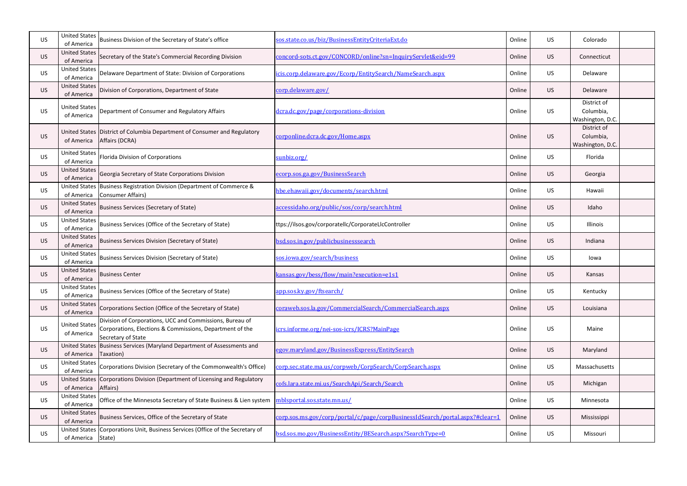| <b>US</b> | <b>United States</b><br>of America | Business Division of the Secretary of State's office                                                                                       | sos.state.co.us/biz/BusinessEntityCriteriaExt.do                             | Online | US        | Colorado                                     |  |
|-----------|------------------------------------|--------------------------------------------------------------------------------------------------------------------------------------------|------------------------------------------------------------------------------|--------|-----------|----------------------------------------------|--|
| <b>US</b> | <b>United States</b><br>of America | Secretary of the State's Commercial Recording Division                                                                                     | concord-sots.ct.gov/CONCORD/online?sn=InquiryServlet&eid=99                  | Online | <b>US</b> | Connecticut                                  |  |
| <b>US</b> | <b>United States</b><br>of America | Delaware Department of State: Division of Corporations                                                                                     | icis.corp.delaware.gov/Ecorp/EntitySearch/NameSearch.aspx                    | Online | <b>US</b> | Delaware                                     |  |
| <b>US</b> | <b>United States</b><br>of America | Division of Corporations, Department of State                                                                                              | corp.delaware.gov/                                                           | Online | <b>US</b> | Delaware                                     |  |
| US        | <b>United States</b><br>of America | Department of Consumer and Regulatory Affairs                                                                                              | dcra.dc.gov/page/corporations-division                                       | Online | <b>US</b> | District of<br>Columbia,<br>Washington, D.C. |  |
| <b>US</b> | of America                         | United States District of Columbia Department of Consumer and Regulatory<br>Affairs (DCRA)                                                 | corponline.dcra.dc.gov/Home.aspx                                             | Online | <b>US</b> | District of<br>Columbia,<br>Washington, D.C. |  |
| <b>US</b> | <b>United States</b><br>of America | <b>Florida Division of Corporations</b>                                                                                                    | sunbiz.org/                                                                  | Online | <b>US</b> | Florida                                      |  |
| <b>US</b> | <b>United States</b><br>of America | Georgia Secretary of State Corporations Division                                                                                           | ecorp.sos.ga.gov/BusinessSearch                                              | Online | <b>US</b> | Georgia                                      |  |
| <b>US</b> | <b>United States</b><br>of America | Business Registration Division (Department of Commerce &<br><b>Consumer Affairs)</b>                                                       | hbe.ehawaii.gov/documents/search.html                                        | Online | <b>US</b> | Hawaii                                       |  |
| <b>US</b> | <b>United States</b><br>of America | <b>Business Services (Secretary of State)</b>                                                                                              | accessidaho.org/public/sos/corp/search.html                                  | Online | <b>US</b> | Idaho                                        |  |
| <b>US</b> | <b>United States</b><br>of America | Business Services (Office of the Secretary of State)                                                                                       | ttps://ilsos.gov/corporatellc/CorporateLlcController                         | Online | <b>US</b> | Illinois                                     |  |
| <b>US</b> | <b>United States</b><br>of America | <b>Business Services Division (Secretary of State)</b>                                                                                     | bsd.sos.in.gov/publicbusinesssearch                                          | Online | <b>US</b> | Indiana                                      |  |
| <b>US</b> | <b>United States</b><br>of America | <b>Business Services Division (Secretary of State)</b>                                                                                     | sos.iowa.gov/search/business                                                 | Online | <b>US</b> | lowa                                         |  |
| <b>US</b> | <b>United States</b><br>of America | <b>Business Center</b>                                                                                                                     | kansas.gov/bess/flow/main?execution=e1s1                                     | Online | <b>US</b> | Kansas                                       |  |
| US        | United States<br>of America        | Business Services (Office of the Secretary of State)                                                                                       | app.sos.ky.gov/ftsearch/                                                     | Online | US        | Kentucky                                     |  |
| <b>US</b> | <b>United States</b><br>of America | Corporations Section (Office of the Secretary of State)                                                                                    | coraweb.sos.la.gov/CommercialSearch/CommercialSearch.aspx                    | Online | <b>US</b> | Louisiana                                    |  |
| <b>US</b> | <b>United States</b><br>of America | Division of Corporations, UCC and Commissions, Bureau of<br>Corporations, Elections & Commissions, Department of the<br>Secretary of State | icrs.informe.org/nei-sos-icrs/ICRS?MainPage                                  | Online | <b>US</b> | Maine                                        |  |
| <b>US</b> | <b>United States</b><br>of America | Business Services (Maryland Department of Assessments and<br>Taxation)                                                                     | egov.maryland.gov/BusinessExpress/EntitySearch                               | Online | <b>US</b> | Maryland                                     |  |
| <b>US</b> | <b>United States</b><br>of America | Corporations Division (Secretary of the Commonwealth's Office)                                                                             | corp.sec.state.ma.us/corpweb/CorpSearch/CorpSearch.aspx                      | Online | <b>US</b> | Massachusetts                                |  |
| <b>US</b> | <b>United States</b><br>of America | Corporations Division (Department of Licensing and Regulatory<br>Affairs)                                                                  | cofs.lara.state.mi.us/SearchApi/Search/Search                                | Online | <b>US</b> | Michigan                                     |  |
| <b>US</b> | <b>United States</b><br>of America | Office of the Minnesota Secretary of State Business & Lien system                                                                          | mblsportal.sos.state.mn.us/                                                  | Online | <b>US</b> | Minnesota                                    |  |
| <b>US</b> | <b>United States</b><br>of America | Business Services, Office of the Secretary of State                                                                                        | corp.sos.ms.gov/corp/portal/c/page/corpBusinessIdSearch/portal.aspx?#clear=1 | Online | <b>US</b> | Mississippi                                  |  |
| US        | <b>United States</b><br>of America | Corporations Unit, Business Services (Office of the Secretary of<br>State)                                                                 | bsd.sos.mo.gov/BusinessEntity/BESearch.aspx?SearchType=0                     | Online | US        | Missouri                                     |  |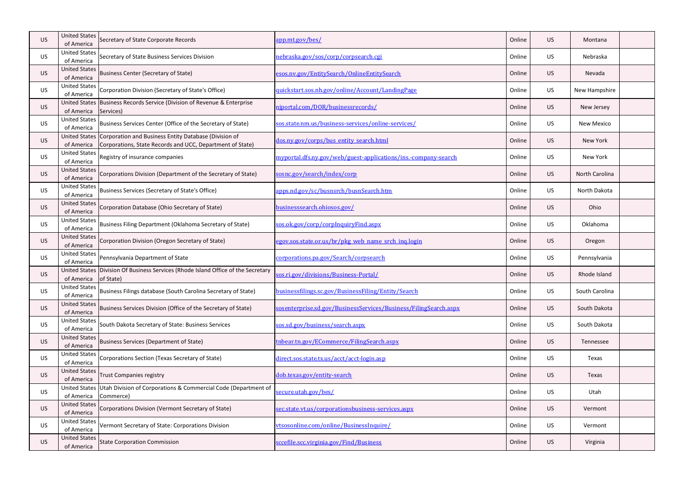| US.       | <b>United States</b><br>of America | Secretary of State Corporate Records                                                                               | app.mt.gov/bes/                                                  | Online | <b>US</b> | Montana           |  |
|-----------|------------------------------------|--------------------------------------------------------------------------------------------------------------------|------------------------------------------------------------------|--------|-----------|-------------------|--|
| US.       | <b>United States</b><br>of America | Secretary of State Business Services Division                                                                      | <u>nebraska.gov/sos/corp/corpsearch.cgi</u>                      | Online | <b>US</b> | Nebraska          |  |
| <b>US</b> | <b>United States</b><br>of America | <b>Business Center (Secretary of State)</b>                                                                        | esos.nv.gov/EntitySearch/OnlineEntitySearch                      | Online | <b>US</b> | Nevada            |  |
| <b>US</b> | <b>United States</b><br>of America | Corporation Division (Secretary of State's Office)                                                                 | quickstart.sos.nh.gov/online/Account/LandingPage                 | Online | <b>US</b> | New Hampshire     |  |
| <b>US</b> | <b>United States</b><br>of America | Business Records Service (Division of Revenue & Enterprise<br>Services)                                            | njportal.com/DOR/businessrecords/                                | Online | <b>US</b> | New Jersey        |  |
| <b>US</b> | <b>United States</b><br>of America | Business Services Center (Office of the Secretary of State)                                                        | sos.state.nm.us/business-services/online-services/               | Online | US        | <b>New Mexico</b> |  |
| US.       | <b>United States</b><br>of America | Corporation and Business Entity Database (Division of<br>Corporations, State Records and UCC, Department of State) | dos.ny.gov/corps/bus_entity_search.html                          | Online | <b>US</b> | New York          |  |
| <b>US</b> | <b>United States</b><br>of America | Registry of insurance companies                                                                                    | myportal.dfs.ny.gov/web/guest-applications/ins.-company-search   | Online | <b>US</b> | New York          |  |
| <b>US</b> | <b>United States</b><br>of America | Corporations Division (Department of the Secretary of State)                                                       | sosnc.gov/search/index/corp                                      | Online | <b>US</b> | North Carolina    |  |
| <b>US</b> | <b>United States</b><br>of America | <b>Business Services (Secretary of State's Office)</b>                                                             | apps.nd.gov/sc/busnsrch/busnSearch.htm                           | Online | US        | North Dakota      |  |
| <b>US</b> | <b>United States</b><br>of America | Corporation Database (Ohio Secretary of State)                                                                     | businesssearch.ohiosos.gov/                                      | Online | <b>US</b> | Ohio              |  |
| <b>US</b> | <b>United States</b><br>of America | Business Filing Department (Oklahoma Secretary of State)                                                           | sos.ok.gov/corp/corpInquiryFind.aspx                             | Online | US        | Oklahoma          |  |
| US.       | <b>United States</b><br>of America | Corporation Division (Oregon Secretary of State)                                                                   | egov.sos.state.or.us/br/pkg web name srch inq.login              | Online | <b>US</b> | Oregon            |  |
| <b>US</b> | <b>United States</b><br>of America | Pennsylvania Department of State                                                                                   | corporations.pa.gov/Search/corpsearch                            | Online | <b>US</b> | Pennsylvania      |  |
| US.       | <b>United States</b><br>of America | Division Of Business Services (Rhode Island Office of the Secretary<br>of State)                                   | sos.ri.gov/divisions/Business-Portal/                            | Online | <b>US</b> | Rhode Island      |  |
| US.       | <b>United States</b><br>of America | Business Filings database (South Carolina Secretary of State)                                                      | businessfilings.sc.gov/BusinessFiling/Entity/Search              | Online | US        | South Carolina    |  |
| <b>US</b> | <b>United States</b><br>of America | Business Services Division (Office of the Secretary of State)                                                      | sosenterprise.sd.gov/BusinessServices/Business/FilingSearch.aspx | Online | <b>US</b> | South Dakota      |  |
| <b>US</b> | <b>United States</b><br>of America | South Dakota Secretary of State: Business Services                                                                 | sos.sd.gov/business/search.aspx                                  | Online | <b>US</b> | South Dakota      |  |
| <b>US</b> | <b>United States</b><br>of America | <b>Business Services (Department of State)</b>                                                                     | tnbear.tn.gov/ECommerce/FilingSearch.aspx                        | Online | <b>US</b> | Tennessee         |  |
| <b>US</b> | <b>United States</b><br>of America | Corporations Section (Texas Secretary of State)                                                                    | direct.sos.state.tx.us/acct/acct-login.asp                       | Online | <b>US</b> | Texas             |  |
| <b>US</b> | <b>United States</b><br>of America | <b>Trust Companies registry</b>                                                                                    | dob.texas.gov/entity-search                                      | Online | <b>US</b> | Texas             |  |
| US        | <b>United States</b><br>of America | Utah Division of Corporations & Commercial Code (Department of<br>Commerce)                                        | secure.utah.gov/bes/                                             | Online | US        | Utah              |  |
| <b>US</b> | <b>United States</b><br>of America | Corporations Division (Vermont Secretary of State)                                                                 | sec.state.vt.us/corporationsbusiness-services.aspx               | Online | <b>US</b> | Vermont           |  |
| <b>US</b> | <b>United States</b><br>of America | Vermont Secretary of State: Corporations Division                                                                  | vtsosonline.com/online/BusinessInquire/                          | Online | <b>US</b> | Vermont           |  |
| <b>US</b> | <b>United States</b><br>of America | <b>State Corporation Commission</b>                                                                                | sccefile.scc.virginia.gov/Find/Business                          | Online | US        | Virginia          |  |